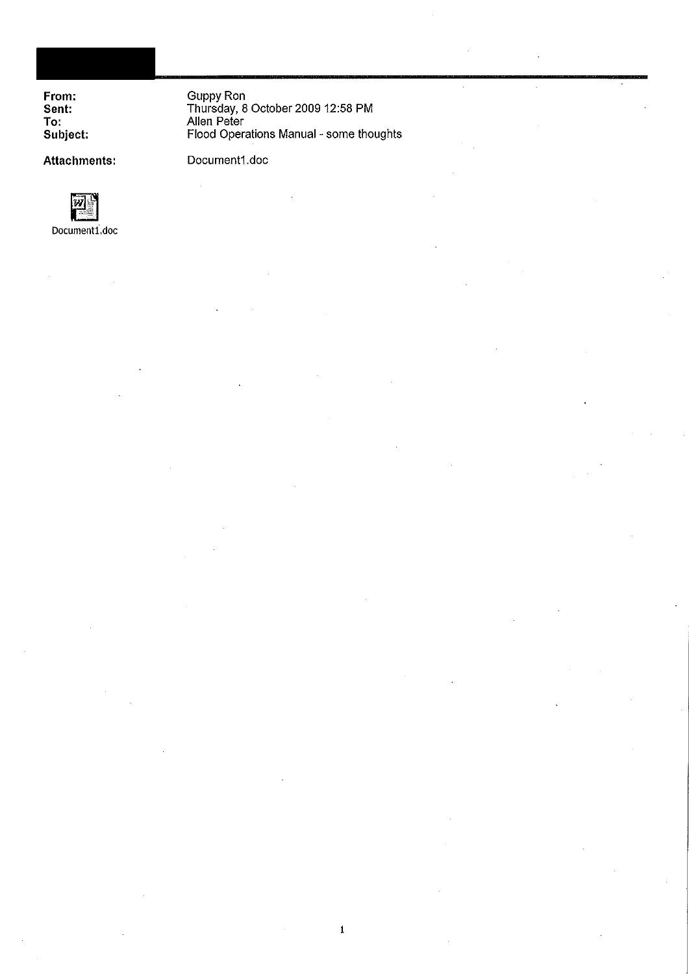From:<br>Sent: To: Subject: Guppy Ron<br>Thursday, 8 October 2009 12:58 PM<br>Allen Peter Flood Operations Manual - some thoughts  $\overline{\phantom{a}}$ 

 $\overline{\phantom{a}}$ 

Attachments:

Document1.doc

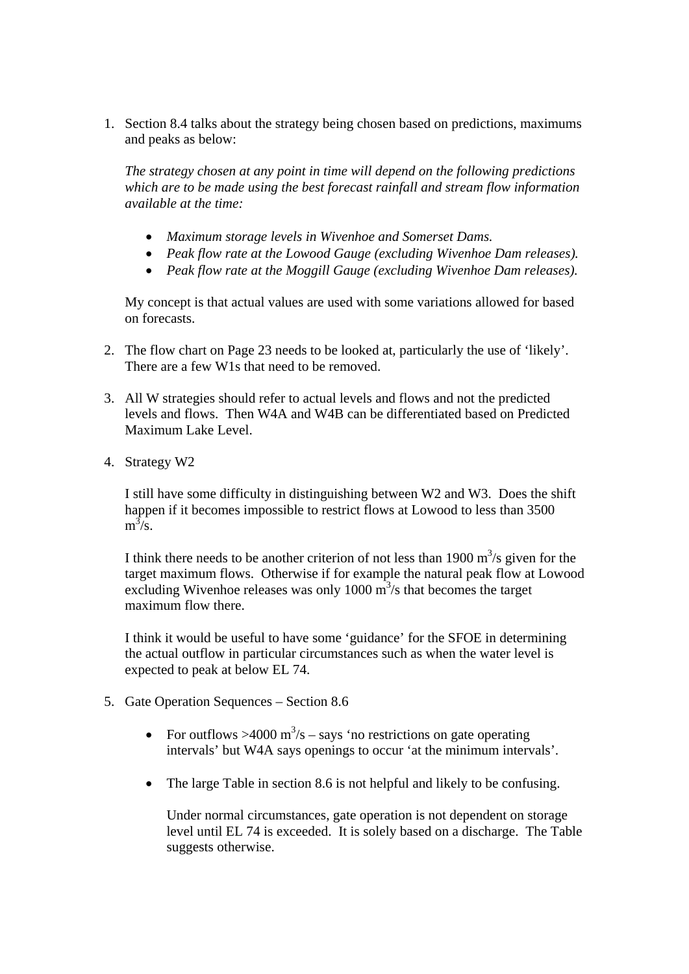1. Section 8.4 talks about the strategy being chosen based on predictions, maximums and peaks as below:

*The strategy chosen at any point in time will depend on the following predictions which are to be made using the best forecast rainfall and stream flow information available at the time:* 

- *Maximum storage levels in Wivenhoe and Somerset Dams.*
- *Peak flow rate at the Lowood Gauge (excluding Wivenhoe Dam releases).*
- *Peak flow rate at the Moggill Gauge (excluding Wivenhoe Dam releases).*

My concept is that actual values are used with some variations allowed for based on forecasts.

- 2. The flow chart on Page 23 needs to be looked at, particularly the use of 'likely'. There are a few W1s that need to be removed.
- 3. All W strategies should refer to actual levels and flows and not the predicted levels and flows. Then W4A and W4B can be differentiated based on Predicted Maximum Lake Level.
- 4. Strategy W2

I still have some difficulty in distinguishing between W2 and W3. Does the shift happen if it becomes impossible to restrict flows at Lowood to less than 3500  $m^3/s$ .

I think there needs to be another criterion of not less than  $1900 \text{ m}^3/\text{s}$  given for the target maximum flows. Otherwise if for example the natural peak flow at Lowood excluding Wivenhoe releases was only  $1000 \text{ m}^3$ /s that becomes the target maximum flow there.

I think it would be useful to have some 'guidance' for the SFOE in determining the actual outflow in particular circumstances such as when the water level is expected to peak at below EL 74.

- 5. Gate Operation Sequences Section 8.6
	- For outflows >4000 m<sup>3</sup>/s says 'no restrictions on gate operating intervals' but W4A says openings to occur 'at the minimum intervals'.
	- The large Table in section 8.6 is not helpful and likely to be confusing.

Under normal circumstances, gate operation is not dependent on storage level until EL 74 is exceeded. It is solely based on a discharge. The Table suggests otherwise.